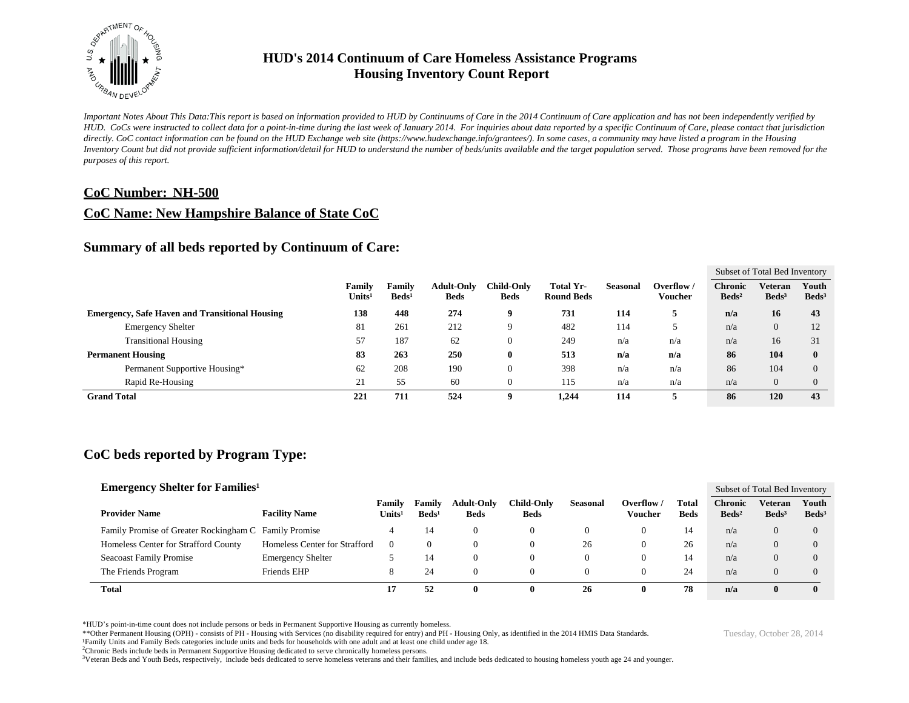

*Important Notes About This Data:This report is based on information provided to HUD by Continuums of Care in the 2014 Continuum of Care application and has not been independently verified by HUD. CoCs were instructed to collect data for a point-in-time during the last week of January 2014. For inquiries about data reported by a specific Continuum of Care, please contact that jurisdiction*  directly. CoC contact information can be found on the HUD Exchange web site (https://www.hudexchange.info/grantees/). In some cases, a community may have listed a program in the Housing *Inventory Count but did not provide sufficient information/detail for HUD to understand the number of beds/units available and the target population served. Those programs have been removed for the purposes of this report.*

#### **CoC Number: NH-500**

#### **CoC Name: New Hampshire Balance of State CoC**

#### **Summary of all beds reported by Continuum of Care:**

|                                                       |                              |                           |                                  |                                  |                                |          |                       |                                   | Subset of Total Bed Inventory |                          |
|-------------------------------------------------------|------------------------------|---------------------------|----------------------------------|----------------------------------|--------------------------------|----------|-----------------------|-----------------------------------|-------------------------------|--------------------------|
|                                                       | Family<br>Units <sup>1</sup> | Familv<br>$\text{Beds}^1$ | <b>Adult-Only</b><br><b>Beds</b> | <b>Child-Only</b><br><b>Beds</b> | Total Yr-<br><b>Round Beds</b> | Seasonal | Overflow /<br>Voucher | <b>Chronic</b><br>$\text{Beds}^2$ | Veteran<br>$\text{Beds}^3$    | Youth<br>$\text{Beds}^3$ |
| <b>Emergency, Safe Haven and Transitional Housing</b> | 138                          | 448                       | 274                              | 9                                | 731                            | 114      |                       | n/a                               | 16                            | 43                       |
| <b>Emergency Shelter</b>                              | 81                           | 261                       | 212                              | 9                                | 482                            | 114      |                       | n/a                               | $\theta$                      | 12                       |
| <b>Transitional Housing</b>                           | 57                           | 187                       | 62                               | $\boldsymbol{0}$                 | 249                            | n/a      | n/a                   | n/a                               | 16                            | 31                       |
| <b>Permanent Housing</b>                              | 83                           | 263                       | 250                              | $\bf{0}$                         | 513                            | n/a      | n/a                   | 86                                | 104                           |                          |
| Permanent Supportive Housing*                         | 62                           | 208                       | 190                              | $\boldsymbol{0}$                 | 398                            | n/a      | n/a                   | 86                                | 104                           |                          |
| Rapid Re-Housing                                      | 21                           | 55                        | 60                               | $\Omega$                         | 115                            | n/a      | n/a                   | n/a                               | $\overline{0}$                |                          |
| <b>Grand Total</b>                                    | 221                          | 711                       | 524                              | q                                | 1.244                          | 114      |                       | 86                                | 120                           | 43                       |

#### **CoC beds reported by Program Type:**

| <b>Emergency Shelter for Families</b> <sup>1</sup>    |                               |                              |                             |                                  |                                  |          |                       |                      |                                   | Subset of Total Bed Inventory |                          |
|-------------------------------------------------------|-------------------------------|------------------------------|-----------------------------|----------------------------------|----------------------------------|----------|-----------------------|----------------------|-----------------------------------|-------------------------------|--------------------------|
| <b>Provider Name</b>                                  | <b>Facility Name</b>          | Family<br>Units <sup>1</sup> | Family<br>Beds <sup>1</sup> | <b>Adult-Only</b><br><b>Beds</b> | <b>Child-Only</b><br><b>Beds</b> | Seasonal | Overflow /<br>Voucher | Total<br><b>Beds</b> | <b>Chronic</b><br>$\text{Beds}^2$ | Veteran<br>Beds <sup>3</sup>  | Youth<br>$\text{Beds}^3$ |
| Family Promise of Greater Rockingham C Family Promise |                               | 4                            | 14                          | $\Omega$                         | $\Omega$                         |          |                       | 14                   | n/a                               | $\theta$                      |                          |
| Homeless Center for Strafford County                  | Homeless Center for Strafford | $\left($                     |                             | 0                                | 0                                | 26       |                       | 26                   | n/a                               | $\left( \right)$              |                          |
| <b>Seacoast Family Promise</b>                        | <b>Emergency Shelter</b>      |                              | 14                          | 0                                | 0                                |          |                       | 14                   | n/a                               | $\left( \right)$              |                          |
| The Friends Program                                   | Friends EHP                   | 8                            | 24                          |                                  | 0                                |          |                       | 24                   | n/a                               |                               |                          |
| Total                                                 |                               | 17                           | 52                          | $\mathbf{0}$                     | 0                                | 26       |                       | 78                   | n/a                               | 0                             | $\mathbf{0}$             |

\*HUD's point-in-time count does not include persons or beds in Permanent Supportive Housing as currently homeless.

\*\*Other Permanent Housing (OPH) - consists of PH - Housing with Services (no disability required for entry) and PH - Housing Only, as identified in the 2014 HMIS Data Standards.

¹Family Units and Family Beds categories include units and beds for households with one adult and at least one child under age 18.

<sup>2</sup>Chronic Beds include beds in Permanent Supportive Housing dedicated to serve chronically homeless persons.

<sup>3</sup>Veteran Beds and Youth Beds, respectively, include beds dedicated to serve homeless veterans and their families, and include beds dedicated to housing homeless youth age 24 and younger.

Tuesday, October 28, 2014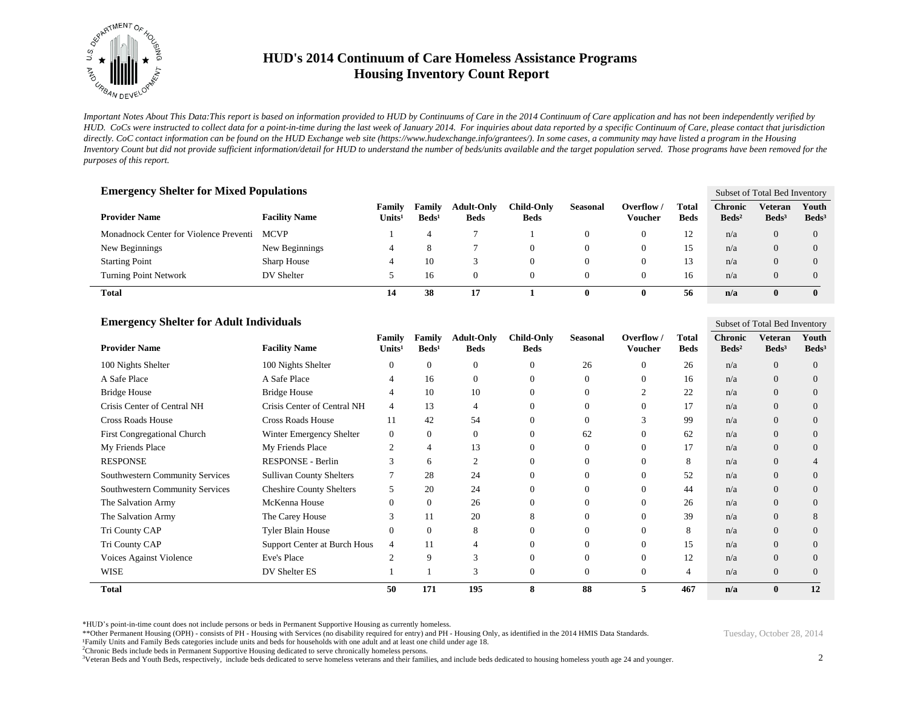

*Important Notes About This Data:This report is based on information provided to HUD by Continuums of Care in the 2014 Continuum of Care application and has not been independently verified by HUD. CoCs were instructed to collect data for a point-in-time during the last week of January 2014. For inquiries about data reported by a specific Continuum of Care, please contact that jurisdiction*  directly. CoC contact information can be found on the HUD Exchange web site (https://www.hudexchange.info/grantees/). In some cases, a community may have listed a program in the Housing *Inventory Count but did not provide sufficient information/detail for HUD to understand the number of beds/units available and the target population served. Those programs have been removed for the purposes of this report.*

| <b>Emergency Shelter for Mixed Populations</b> |                      |                              |                                  |                           |                                  |                 |                       |                      |                                   | Subset of Total Bed Inventory |                          |  |
|------------------------------------------------|----------------------|------------------------------|----------------------------------|---------------------------|----------------------------------|-----------------|-----------------------|----------------------|-----------------------------------|-------------------------------|--------------------------|--|
| <b>Provider Name</b>                           | <b>Facility Name</b> | Family<br>Units <sup>1</sup> | <b>Family</b><br>$\text{Beds}^1$ | Adult-Only<br><b>Beds</b> | <b>Child-Only</b><br><b>Beds</b> | <b>Seasonal</b> | Overflow /<br>Voucher | Total<br><b>Beds</b> | <b>Chronic</b><br>$\text{Beds}^2$ | Veteran<br>Beds <sup>3</sup>  | Youth<br>$\text{Beds}^3$ |  |
| Monadnock Center for Violence Preventi         | <b>MCVP</b>          |                              |                                  |                           |                                  | $\mathbf{0}$    |                       | 12                   | n/a                               | $\Omega$                      |                          |  |
| New Beginnings                                 | New Beginnings       | 4                            | 8                                |                           | $\Omega$                         | 0               | 0                     | 15                   | n/a                               | $\overline{0}$                |                          |  |
| <b>Starting Point</b>                          | Sharp House          | 4                            | 10                               |                           | 0                                | $\mathbf{0}$    |                       | 13                   | n/a                               | $\Omega$                      |                          |  |
| <b>Turning Point Network</b>                   | DV Shelter           |                              | 16                               | $\Omega$                  | $\Omega$                         | $\mathbf{0}$    |                       | 16                   | n/a                               |                               |                          |  |
| Total                                          |                      | 14                           | 38                               | 17                        |                                  | 0               | 0                     | 56                   | n/a                               |                               |                          |  |

| <b>Emergency Shelter for Adult Individuals</b><br>Subset of Total Bed Inventory |                                 |                              |                           |                                  |                                  |                 |                       |                             |                                     |                              |                            |
|---------------------------------------------------------------------------------|---------------------------------|------------------------------|---------------------------|----------------------------------|----------------------------------|-----------------|-----------------------|-----------------------------|-------------------------------------|------------------------------|----------------------------|
| <b>Provider Name</b>                                                            | <b>Facility Name</b>            | Family<br>Units <sup>1</sup> | Family<br>$\text{Beds}^1$ | <b>Adult-Only</b><br><b>Beds</b> | <b>Child-Only</b><br><b>Beds</b> | <b>Seasonal</b> | Overflow /<br>Voucher | <b>Total</b><br><b>Beds</b> | <b>Chronic</b><br>Beds <sup>2</sup> | Veteran<br>Beds <sup>3</sup> | Youth<br>Beds <sup>3</sup> |
| 100 Nights Shelter                                                              | 100 Nights Shelter              | $\theta$                     | $\Omega$                  | $\theta$                         | $\Omega$                         | 26              | $\Omega$              | 26                          | n/a                                 | $\Omega$                     | $\Omega$                   |
| A Safe Place                                                                    | A Safe Place                    | 4                            | 16                        | $\theta$                         | $\Omega$                         | $\overline{0}$  | $\Omega$              | 16                          | n/a                                 | $\overline{0}$               | $\Omega$                   |
| <b>Bridge House</b>                                                             | <b>Bridge House</b>             | 4                            | 10                        | 10                               | $\Omega$                         | 0               |                       | 22                          | n/a                                 | $\Omega$                     | $\Omega$                   |
| Crisis Center of Central NH                                                     | Crisis Center of Central NH     | 4                            | 13                        | 4                                |                                  | 0               | 0                     | 17                          | n/a                                 | $\Omega$                     | $\Omega$                   |
| <b>Cross Roads House</b>                                                        | <b>Cross Roads House</b>        | 11                           | 42                        | 54                               |                                  | 0               |                       | 99                          | n/a                                 | $\overline{0}$               | 0                          |
| First Congregational Church                                                     | Winter Emergency Shelter        | $\mathbf{0}$                 | $\Omega$                  | $\mathbf{0}$                     |                                  | 62              | 0                     | 62                          | n/a                                 | $\Omega$                     | $\Omega$                   |
| My Friends Place                                                                | My Friends Place                | $\overline{c}$               |                           | 13                               |                                  | 0               | $\Omega$              | 17                          | n/a                                 | $\overline{0}$               | $\Omega$                   |
| <b>RESPONSE</b>                                                                 | RESPONSE - Berlin               | 3                            | 6                         | $\overline{2}$                   |                                  | 0               | $\Omega$              | 8                           | n/a                                 | $\Omega$                     |                            |
| <b>Southwestern Community Services</b>                                          | <b>Sullivan County Shelters</b> |                              | 28                        | 24                               |                                  | 0               | $\Omega$              | 52                          | n/a                                 | $\Omega$                     | $\Omega$                   |
| <b>Southwestern Community Services</b>                                          | <b>Cheshire County Shelters</b> | 5                            | 20                        | 24                               |                                  | 0               | 0                     | 44                          | n/a                                 | $\Omega$                     | $\Omega$                   |
| The Salvation Army                                                              | McKenna House                   | $\theta$                     | $\Omega$                  | 26                               |                                  | 0               | $\Omega$              | 26                          | n/a                                 | $\Omega$                     | 0                          |
| The Salvation Army                                                              | The Carey House                 | 3                            | 11                        | 20                               |                                  | 0               |                       | 39                          | n/a                                 | $\Omega$                     | 8                          |
| Tri County CAP                                                                  | <b>Tyler Blain House</b>        | $\Omega$                     | $\Omega$                  | 8                                |                                  | 0               | 0                     | 8                           | n/a                                 | $\Omega$                     | $\Omega$                   |
| Tri County CAP                                                                  | Support Center at Burch Hous    | 4                            | 11                        | 4                                |                                  | 0               | $\Omega$              | 15                          | n/a                                 | $\Omega$                     | 0                          |
| Voices Against Violence                                                         | Eve's Place                     | C                            | 9                         | 3                                | $\Omega$                         | 0               | $\Omega$              | 12                          | n/a                                 | $\overline{0}$               | $\Omega$                   |
| <b>WISE</b>                                                                     | DV Shelter ES                   |                              |                           | 3                                |                                  | 0               | $\Omega$              | 4                           | n/a                                 | $\Omega$                     | $\Omega$                   |
| <b>Total</b>                                                                    |                                 | 50                           | 171                       | 195                              | 8                                | 88              | 5                     | 467                         | n/a                                 | $\mathbf{0}$                 | 12                         |

\*HUD's point-in-time count does not include persons or beds in Permanent Supportive Housing as currently homeless.

\*\*Other Permanent Housing (OPH) - consists of PH - Housing with Services (no disability required for entry) and PH - Housing Only, as identified in the 2014 HMIS Data Standards.

<sup>3</sup>Veteran Beds and Youth Beds, respectively, include beds dedicated to serve homeless veterans and their families, and include beds dedicated to housing homeless youth age 24 and younger.

¹Family Units and Family Beds categories include units and beds for households with one adult and at least one child under age 18.

<sup>&</sup>lt;sup>2</sup>Chronic Beds include beds in Permanent Supportive Housing dedicated to serve chronically homeless persons.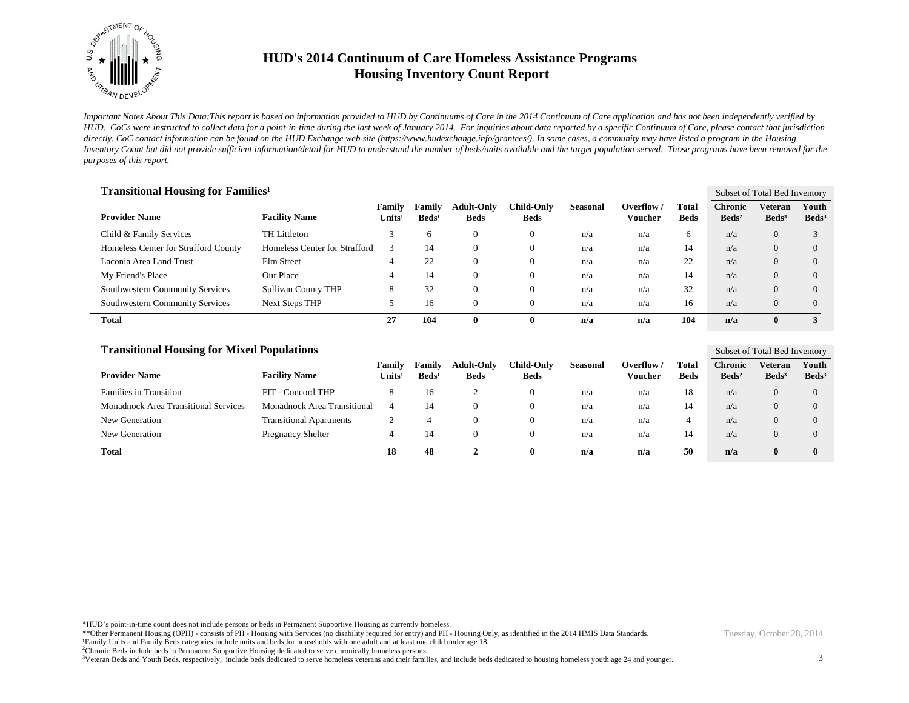

*Important Notes About This Data:This report is based on information provided to HUD by Continuums of Care in the 2014 Continuum of Care application and has not been independently verified by HUD. CoCs were instructed to collect data for a point-in-time during the last week of January 2014. For inquiries about data reported by a specific Continuum of Care, please contact that jurisdiction*  directly. CoC contact information can be found on the HUD Exchange web site (https://www.hudexchange.info/grantees/). In some cases, a community may have listed a program in the Housing *Inventory Count but did not provide sufficient information/detail for HUD to understand the number of beds/units available and the target population served. Those programs have been removed for the purposes of this report.*

| <b>Transitional Housing for Families<sup>1</sup></b> |                               |                              |                           |                                  |                           |                 |                       |                      |                                   | Subset of Total Bed Inventory |                            |  |
|------------------------------------------------------|-------------------------------|------------------------------|---------------------------|----------------------------------|---------------------------|-----------------|-----------------------|----------------------|-----------------------------------|-------------------------------|----------------------------|--|
| <b>Provider Name</b>                                 | <b>Facility Name</b>          | Family<br>$\mathbf{Units^1}$ | Family<br>$\text{Beds}^1$ | <b>Adult-Only</b><br><b>Beds</b> | Child-Onlv<br><b>Beds</b> | <b>Seasonal</b> | Overflow /<br>Voucher | Total<br><b>Beds</b> | <b>Chronic</b><br>$\text{Beds}^2$ | Veteran<br>Beds <sup>3</sup>  | Youth<br>Beds <sup>3</sup> |  |
| Child & Family Services                              | TH Littleton                  |                              | <sub>6</sub>              |                                  | $\mathbf{0}$              | n/a             | n/a                   | 6                    | n/a                               | $\overline{0}$                |                            |  |
| Homeless Center for Strafford County                 | Homeless Center for Strafford | 3                            | 14                        |                                  | $\mathbf{0}$              | n/a             | n/a                   | 14                   | n/a                               | $\overline{0}$                | $\Omega$                   |  |
| Laconia Area Land Trust                              | Elm Street                    | 4                            | 22                        |                                  | $\mathbf{0}$              | n/a             | n/a                   | 22                   | n/a                               | $\overline{0}$                | $\Omega$                   |  |
| My Friend's Place                                    | Our Place                     | 4                            | 14                        | $\Omega$                         | $\mathbf{0}$              | n/a             | n/a                   | 14                   | n/a                               | $\Omega$                      | $\Omega$                   |  |
| Southwestern Community Services                      | <b>Sullivan County THP</b>    | 8                            | 32                        |                                  | $\mathbf{0}$              | n/a             | n/a                   | 32                   | n/a                               | $\overline{0}$                | $\Omega$                   |  |
| Southwestern Community Services                      | <b>Next Steps THP</b>         |                              | 16                        |                                  | $\mathbf{0}$              | n/a             | n/a                   | 16                   | n/a                               | $\Omega$                      | $\Omega$                   |  |
| Total                                                |                               | 27                           | 104                       | $\mathbf{0}$                     | $\mathbf{0}$              | n/a             | n/a                   | 104                  | n/a                               | $\mathbf{0}$                  |                            |  |

| <b>Transitional Housing for Mixed Populations</b> |                                |                              |                             |                                  |                           |                 |                       |                      |                                   |                              | Subset of Total Bed Inventory |  |  |
|---------------------------------------------------|--------------------------------|------------------------------|-----------------------------|----------------------------------|---------------------------|-----------------|-----------------------|----------------------|-----------------------------------|------------------------------|-------------------------------|--|--|
| <b>Provider Name</b>                              | <b>Facility Name</b>           | Family<br>Units <sup>1</sup> | Family<br>Beds <sup>1</sup> | <b>Adult-Only</b><br><b>Beds</b> | Child-Only<br><b>Beds</b> | <b>Seasonal</b> | Overflow /<br>Voucher | Total<br><b>Beds</b> | <b>Chronic</b><br>$\text{Beds}^2$ | Veteran<br>Beds <sup>3</sup> | Youth<br>Beds <sup>3</sup>    |  |  |
| <b>Families in Transition</b>                     | FIT - Concord THP              | 8                            | 16                          |                                  | $\theta$                  | n/a             | n/a                   | 18                   | n/a                               |                              | $\overline{0}$                |  |  |
| <b>Monadnock Area Transitional Services</b>       | Monadnock Area Transitional    |                              | 14                          | $\Omega$                         | 0                         | n/a             | n/a                   | 14                   | n/a                               | $\Omega$                     | $\Omega$                      |  |  |
| New Generation                                    | <b>Transitional Apartments</b> |                              |                             | $\Omega$                         | $\theta$                  | n/a             | n/a                   | 4                    | n/a                               |                              | $\Omega$                      |  |  |
| New Generation                                    | <b>Pregnancy Shelter</b>       |                              | 14                          | $\Omega$                         | $\theta$                  | n/a             | n/a                   | 14                   | n/a                               |                              | $\Omega$                      |  |  |
| Total                                             |                                | 18                           | 48                          | ◠                                | v                         | n/a             | n/a                   | 50                   | n/a                               | $\bf{0}$                     | $\bf{0}$                      |  |  |

\*HUD's point-in-time count does not include persons or beds in Permanent Supportive Housing as currently homeless.

\*\*Other Permanent Housing (OPH) - consists of PH - Housing with Services (no disability required for entry) and PH - Housing Only, as identified in the 2014 HMIS Data Standards. ¹Family Units and Family Beds categories include units and beds for households with one adult and at least one child under age 18.

<sup>2</sup>Chronic Beds include beds in Permanent Supportive Housing dedicated to serve chronically homeless persons.

<sup>3</sup>Veteran Beds and Youth Beds, respectively, include beds dedicated to serve homeless veterans and their families, and include beds dedicated to housing homeless youth age 24 and younger.

Tuesday, October 28, 2014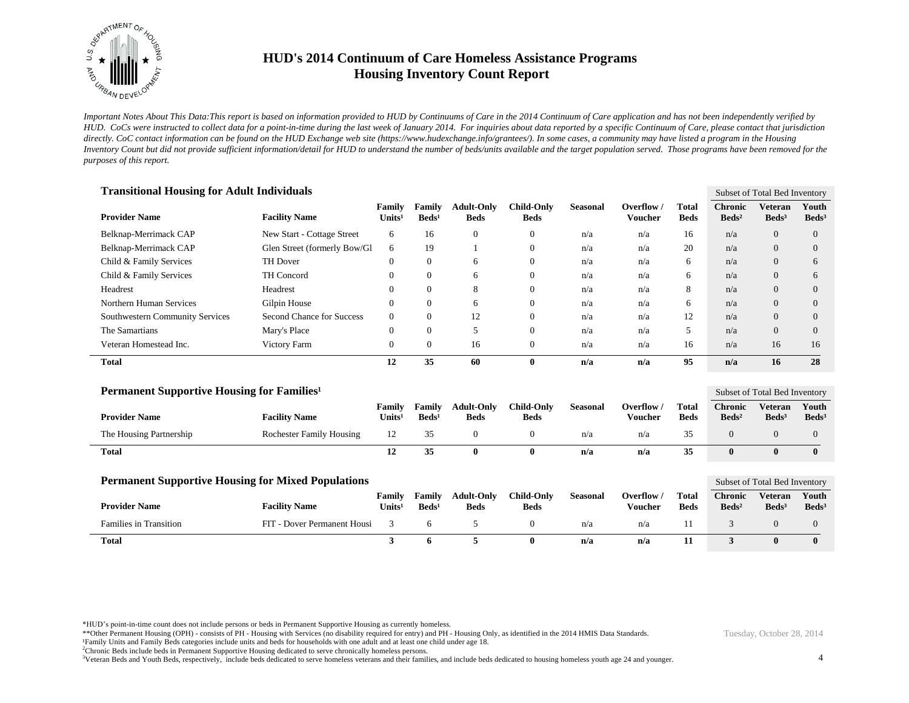

*Important Notes About This Data:This report is based on information provided to HUD by Continuums of Care in the 2014 Continuum of Care application and has not been independently verified by HUD. CoCs were instructed to collect data for a point-in-time during the last week of January 2014. For inquiries about data reported by a specific Continuum of Care, please contact that jurisdiction*  directly. CoC contact information can be found on the HUD Exchange web site (https://www.hudexchange.info/grantees/). In some cases, a community may have listed a program in the Housing *Inventory Count but did not provide sufficient information/detail for HUD to understand the number of beds/units available and the target population served. Those programs have been removed for the purposes of this report.*

| <b>Transitional Housing for Adult Individuals</b> |                              |                              |                           |                                  |                                  |                 |                              |                      |                                     |                                     | Subset of Total Bed Inventory |  |  |
|---------------------------------------------------|------------------------------|------------------------------|---------------------------|----------------------------------|----------------------------------|-----------------|------------------------------|----------------------|-------------------------------------|-------------------------------------|-------------------------------|--|--|
| <b>Provider Name</b>                              | <b>Facility Name</b>         | Family<br>Units <sup>1</sup> | Family<br>$\text{Beds}^1$ | <b>Adult-Only</b><br><b>Beds</b> | <b>Child-Only</b><br><b>Beds</b> | <b>Seasonal</b> | Overflow /<br><b>Voucher</b> | Total<br><b>Beds</b> | <b>Chronic</b><br>Beds <sup>2</sup> | <b>Veteran</b><br>Beds <sup>3</sup> | Youth<br>Beds <sup>3</sup>    |  |  |
| Belknap-Merrimack CAP                             | New Start - Cottage Street   | 6                            | 16                        | $\mathbf{0}$                     | $\theta$                         | n/a             | n/a                          | 16                   | n/a                                 | $\overline{0}$                      | $\overline{0}$                |  |  |
| Belknap-Merrimack CAP                             | Glen Street (formerly Bow/Gl | 6                            | 19                        |                                  | $\theta$                         | n/a             | n/a                          | 20                   | n/a                                 | $\overline{0}$                      | $\overline{0}$                |  |  |
| Child & Family Services                           | TH Dover                     | $\mathbf{0}$                 | $\overline{0}$            | 6                                | $\mathbf{0}$                     | n/a             | n/a                          | 6                    | n/a                                 | $\theta$                            | 6                             |  |  |
| Child & Family Services                           | TH Concord                   | $\mathbf{0}$                 | $\overline{0}$            | 6                                | $\theta$                         | n/a             | n/a                          | 6                    | n/a                                 | $\overline{0}$                      | 6                             |  |  |
| Headrest                                          | Headrest                     | $\mathbf{0}$                 | $\Omega$                  | 8                                | $\theta$                         | n/a             | n/a                          | 8                    | n/a                                 | $\overline{0}$                      | $\overline{0}$                |  |  |
| Northern Human Services                           | Gilpin House                 | $\mathbf{0}$                 | $\Omega$                  | 6                                | $\theta$                         | n/a             | n/a                          | 6                    | n/a                                 | $\theta$                            | $\overline{0}$                |  |  |
| Southwestern Community Services                   | Second Chance for Success    | $\mathbf{0}$                 | $\theta$                  | 12                               | $\theta$                         | n/a             | n/a                          | 12                   | n/a                                 | $\overline{0}$                      | $\overline{0}$                |  |  |
| The Samartians                                    | Mary's Place                 | $\mathbf{0}$                 | $\Omega$                  | 5                                | $\theta$                         | n/a             | n/a                          | 5                    | n/a                                 | $\Omega$                            | $\Omega$                      |  |  |
| Veteran Homestead Inc.                            | Victory Farm                 | $\mathbf{0}$                 | $\Omega$                  | 16                               | $\theta$                         | n/a             | n/a                          | 16                   | n/a                                 | 16                                  | 16                            |  |  |
| <b>Total</b>                                      |                              | 12                           | 35                        | 60                               | $\bf{0}$                         | n/a             | n/a                          | 95                   | n/a                                 | 16                                  | 28                            |  |  |
|                                                   |                              |                              |                           |                                  |                                  |                 |                              |                      |                                     |                                     |                               |  |  |

| <b>Permanent Supportive Housing for Families</b> <sup>1</sup> |                                 |                              |                             |                                  |                           |          |                       |                             |                                     | Subset of Total Bed Inventory     |                            |  |
|---------------------------------------------------------------|---------------------------------|------------------------------|-----------------------------|----------------------------------|---------------------------|----------|-----------------------|-----------------------------|-------------------------------------|-----------------------------------|----------------------------|--|
| <b>Provider Name</b>                                          | <b>Facility Name</b>            | Familv<br>Units <sup>1</sup> | Family<br>Beds <sup>1</sup> | <b>Adult-Only</b><br><b>Beds</b> | Child-Only<br><b>Beds</b> | Seasonal | Overflow .<br>Voucher | <b>Total</b><br><b>Beds</b> | <b>Chronic</b><br>Beds <sup>2</sup> | <b>Veteran</b><br>$\text{Beds}^3$ | Youth<br>Beds <sup>3</sup> |  |
| The Housing Partnership                                       | <b>Rochester Family Housing</b> |                              | 35                          |                                  |                           | n/a      | n/a                   | 35                          |                                     |                                   |                            |  |
| <b>Total</b>                                                  |                                 | 12                           | 35                          |                                  | o                         | n/a      | n/a                   | 35                          |                                     |                                   |                            |  |

| <b>Permanent Supportive Housing for Mixed Populations</b> |                             |                         |                           |                                  |                                  |          |                     |                             |                                   | Subset of Total Bed Inventory     |                          |  |
|-----------------------------------------------------------|-----------------------------|-------------------------|---------------------------|----------------------------------|----------------------------------|----------|---------------------|-----------------------------|-----------------------------------|-----------------------------------|--------------------------|--|
| <b>Provider Name</b>                                      | <b>Facility Name</b>        | <b>Family</b><br>Jnits' | Family<br>$\text{Beds}^1$ | <b>Adult-Only</b><br><b>Beds</b> | <b>Child-Only</b><br><b>Beds</b> | Seasonal | Overflow<br>Voucher | <b>Total</b><br><b>Beds</b> | <b>Chronic</b><br>$\text{Beds}^2$ | <b>Veteran</b><br>$\text{Beds}^3$ | Youth<br>$\text{Beds}^3$ |  |
| <b>Families in Transition</b>                             | FIT - Dover Permanent Housi |                         |                           |                                  |                                  | n/a      | n/a                 |                             |                                   |                                   |                          |  |
| Total                                                     |                             |                         |                           |                                  |                                  | n/a      | n/a                 |                             |                                   |                                   | 0                        |  |

\*HUD's point-in-time count does not include persons or beds in Permanent Supportive Housing as currently homeless.

\*\*Other Permanent Housing (OPH) - consists of PH - Housing with Services (no disability required for entry) and PH - Housing Only, as identified in the 2014 HMIS Data Standards. Family Units and Family Beds categories include units and beds for households with one adult and at least one child under age 18.

<sup>2</sup>Chronic Beds include beds in Permanent Supportive Housing dedicated to serve chronically homeless persons.

<sup>3</sup>Veteran Beds and Youth Beds, respectively, include beds dedicated to serve homeless veterans and their families, and include beds dedicated to housing homeless youth age 24 and younger.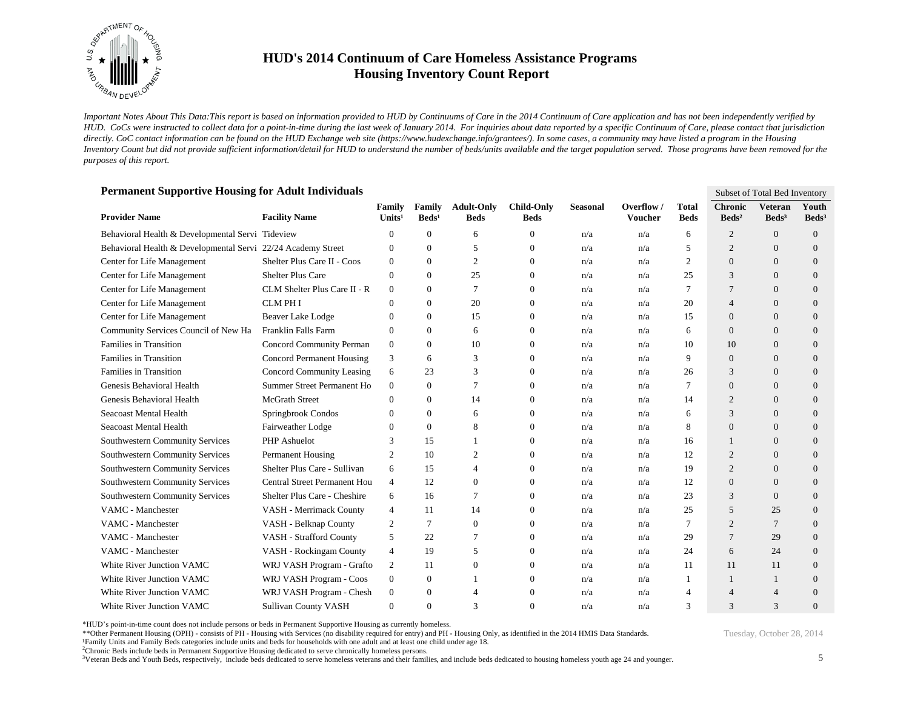

*Important Notes About This Data:This report is based on information provided to HUD by Continuums of Care in the 2014 Continuum of Care application and has not been independently verified by HUD. CoCs were instructed to collect data for a point-in-time during the last week of January 2014. For inquiries about data reported by a specific Continuum of Care, please contact that jurisdiction*  directly. CoC contact information can be found on the HUD Exchange web site (https://www.hudexchange.info/grantees/). In some cases, a community may have listed a program in the Housing *Inventory Count but did not provide sufficient information/detail for HUD to understand the number of beds/units available and the target population served. Those programs have been removed for the purposes of this report.*

| Permanent Supportive Housing for Adult Individuals<br>Subset of Total Bed Inventory |                                     |                              |                           |                                  |                                  |                 |                              |                             |                                   |                                     |                          |
|-------------------------------------------------------------------------------------|-------------------------------------|------------------------------|---------------------------|----------------------------------|----------------------------------|-----------------|------------------------------|-----------------------------|-----------------------------------|-------------------------------------|--------------------------|
| <b>Provider Name</b>                                                                | <b>Facility Name</b>                | Family<br>Units <sup>1</sup> | Family<br>$\text{Beds}^1$ | <b>Adult-Only</b><br><b>Beds</b> | <b>Child-Only</b><br><b>Beds</b> | <b>Seasonal</b> | Overflow /<br><b>Voucher</b> | <b>Total</b><br><b>Beds</b> | <b>Chronic</b><br>$\text{Beds}^2$ | <b>Veteran</b><br>Beds <sup>3</sup> | Youth<br>$\text{Beds}^3$ |
| Behavioral Health & Developmental Servi Tideview                                    |                                     | $\Omega$                     | $\Omega$                  | 6                                | $\Omega$                         | n/a             | n/a                          | 6                           | 2                                 | $\Omega$                            | $\overline{0}$           |
| Behavioral Health & Developmental Servi 22/24 Academy Street                        |                                     | $\Omega$                     | $\Omega$                  | 5                                | $\mathbf{0}$                     | n/a             | n/a                          | 5                           | 2                                 | $\Omega$                            | $\Omega$                 |
| Center for Life Management                                                          | Shelter Plus Care II - Coos         | $\Omega$                     | $\Omega$                  | $\overline{2}$                   | $\Omega$                         | n/a             | n/a                          | $\overline{c}$              | $\overline{0}$                    | $\Omega$                            | $\overline{0}$           |
| Center for Life Management                                                          | <b>Shelter Plus Care</b>            | $\Omega$                     | $\Omega$                  | 25                               | $\Omega$                         | n/a             | n/a                          | 25                          | 3                                 | $\Omega$                            | $\overline{0}$           |
| Center for Life Management                                                          | CLM Shelter Plus Care II - R        | $\mathbf{0}$                 | $\Omega$                  | 7                                | $\mathbf{0}$                     | n/a             | n/a                          | 7                           |                                   | $\Omega$                            | $\overline{0}$           |
| Center for Life Management                                                          | <b>CLM PHI</b>                      | $\Omega$                     | $\overline{0}$            | 20                               | $\mathbf{0}$                     | n/a             | n/a                          | 20                          | $\overline{4}$                    | $\overline{0}$                      | $\overline{0}$           |
| Center for Life Management                                                          | Beaver Lake Lodge                   | $\Omega$                     | $\Omega$                  | 15                               | $\mathbf{0}$                     | n/a             | n/a                          | 15                          | $\theta$                          | $\Omega$                            | $\overline{0}$           |
| Community Services Council of New Ha                                                | Franklin Falls Farm                 | $\Omega$                     | $\overline{0}$            | 6                                | $\mathbf{0}$                     | n/a             | n/a                          | 6                           | $\overline{0}$                    | $\Omega$                            | $\overline{0}$           |
| Families in Transition                                                              | Concord Community Perman            | $\boldsymbol{0}$             | $\overline{0}$            | 10                               | $\mathbf{0}$                     | n/a             | n/a                          | 10                          | 10                                | $\Omega$                            | $\overline{0}$           |
| Families in Transition                                                              | <b>Concord Permanent Housing</b>    | 3                            | 6                         | 3                                | $\mathbf{0}$                     | n/a             | n/a                          | 9                           | $\theta$                          | $\Omega$                            | $\overline{0}$           |
| Families in Transition                                                              | Concord Community Leasing           | 6                            | 23                        | 3                                | $\Omega$                         | n/a             | n/a                          | 26                          | 3                                 | $\Omega$                            | $\overline{0}$           |
| Genesis Behavioral Health                                                           | Summer Street Permanent Ho          | $\mathbf{0}$                 | $\overline{0}$            | $\overline{7}$                   | $\Omega$                         | n/a             | n/a                          | 7                           | $\Omega$                          | $\Omega$                            | $\overline{0}$           |
| Genesis Behavioral Health                                                           | <b>McGrath Street</b>               | $\Omega$                     | $\overline{0}$            | 14                               | $\theta$                         | n/a             | n/a                          | 14                          | $\overline{2}$                    | $\Omega$                            | $\overline{0}$           |
| Seacoast Mental Health                                                              | Springbrook Condos                  | $\Omega$                     | $\overline{0}$            | 6                                | $\mathbf{0}$                     | n/a             | n/a                          | 6                           | 3                                 | $\theta$                            | $\overline{0}$           |
| Seacoast Mental Health                                                              | Fairweather Lodge                   | $\theta$                     | $\overline{0}$            | 8                                | $\mathbf{0}$                     | n/a             | n/a                          | 8                           | $\overline{0}$                    | $\overline{0}$                      | $\overline{0}$           |
| Southwestern Community Services                                                     | <b>PHP</b> Ashuelot                 | 3                            | 15                        |                                  | $\Omega$                         | n/a             | n/a                          | 16                          |                                   | $\Omega$                            | $\overline{0}$           |
| Southwestern Community Services                                                     | <b>Permanent Housing</b>            | $\overline{2}$               | 10                        | $\overline{c}$                   | $\mathbf{0}$                     | n/a             | n/a                          | 12                          | $\overline{2}$                    | $\Omega$                            | $\overline{0}$           |
| Southwestern Community Services                                                     | Shelter Plus Care - Sullivan        | 6                            | 15                        | $\overline{4}$                   | $\theta$                         | n/a             | n/a                          | 19                          | 2                                 | $\Omega$                            | $\overline{0}$           |
| Southwestern Community Services                                                     | <b>Central Street Permanent Hou</b> | 4                            | 12                        | $\overline{0}$                   | $\Omega$                         | n/a             | n/a                          | 12                          | $\Omega$                          | $\Omega$                            | $\Omega$                 |
| <b>Southwestern Community Services</b>                                              | Shelter Plus Care - Cheshire        | 6                            | 16                        | 7                                | $\Omega$                         | n/a             | n/a                          | 23                          | 3                                 | $\Omega$                            | $\Omega$                 |
| VAMC - Manchester                                                                   | VASH - Merrimack County             | 4                            | 11                        | 14                               | $\Omega$                         | n/a             | n/a                          | 25                          | 5                                 | 25                                  | $\Omega$                 |
| VAMC - Manchester                                                                   | VASH - Belknap County               | 2                            | 7                         | $\theta$                         | $\mathbf{0}$                     | n/a             | n/a                          | 7                           | $\overline{c}$                    | 7                                   | $\Omega$                 |
| VAMC - Manchester                                                                   | VASH - Strafford County             | 5                            | 22                        | 7                                | $\Omega$                         | n/a             | n/a                          | 29                          | $\overline{7}$                    | 29                                  | $\Omega$                 |
| VAMC - Manchester                                                                   | VASH - Rockingam County             | 4                            | 19                        | 5                                | $\Omega$                         | n/a             | n/a                          | 24                          | 6                                 | 24                                  | $\Omega$                 |
| White River Junction VAMC                                                           | WRJ VASH Program - Grafto           | 2                            | 11                        | $\theta$                         | $\Omega$                         | n/a             | n/a                          | 11                          | 11                                | 11                                  | $\Omega$                 |
| White River Junction VAMC                                                           | WRJ VASH Program - Coos             | $\boldsymbol{0}$             | $\overline{0}$            |                                  | $\Omega$                         | n/a             | n/a                          | 1                           | $\overline{1}$                    | 1                                   | $\Omega$                 |
| White River Junction VAMC                                                           | WRJ VASH Program - Chesh            | $\mathbf{0}$                 | $\overline{0}$            |                                  | $\Omega$                         | n/a             | n/a                          | 4                           | $\Delta$                          | $\Delta$                            | $\Omega$                 |
| White River Junction VAMC                                                           | <b>Sullivan County VASH</b>         | $\Omega$                     | $\Omega$                  | $\mathcal{R}$                    | $\Omega$                         | n/a             | n/a                          | 3                           | $\mathcal{R}$                     | 3                                   | $\Omega$                 |

**Permanent Supportive Housing for Adult Individuals**

\*HUD's point-in-time count does not include persons or beds in Permanent Supportive Housing as currently homeless.

\*\*Other Permanent Housing (OPH) - consists of PH - Housing with Services (no disability required for entry) and PH - Housing Only, as identified in the 2014 HMIS Data Standards.

¹Family Units and Family Beds categories include units and beds for households with one adult and at least one child under age 18.

<sup>2</sup>Chronic Beds include beds in Permanent Supportive Housing dedicated to serve chronically homeless persons.

<sup>3</sup>Veteran Beds and Youth Beds, respectively, include beds dedicated to serve homeless veterans and their families, and include beds dedicated to housing homeless youth age 24 and younger.

Tuesday, October 28, 2014